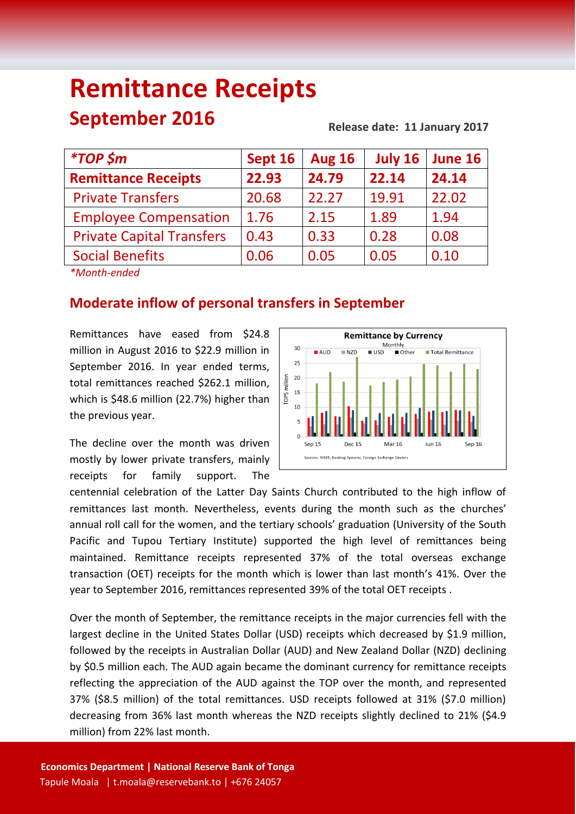# **Remittance Receipts September 2016 Release date: 11 January 2017**

| <i><b>*TOP \$m</b></i>                                                                                                                                                                                                                                                                        | Sept 16 | <b>Aug 16</b> | July 16 | June 16 |
|-----------------------------------------------------------------------------------------------------------------------------------------------------------------------------------------------------------------------------------------------------------------------------------------------|---------|---------------|---------|---------|
| <b>Remittance Receipts</b>                                                                                                                                                                                                                                                                    | 22.93   | 24.79         | 22.14   | 24.14   |
| <b>Private Transfers</b>                                                                                                                                                                                                                                                                      | 20.68   | 22.27         | 19.91   | 22.02   |
| <b>Employee Compensation</b>                                                                                                                                                                                                                                                                  | 1.76    | 2.15          | 1.89    | 1.94    |
| <b>Private Capital Transfers</b>                                                                                                                                                                                                                                                              | 0.43    | 0.33          | 0.28    | 0.08    |
| <b>Social Benefits</b>                                                                                                                                                                                                                                                                        | 0.06    | 0.05          | 0.05    | 0.10    |
| $\frac{1}{2}$ and $\frac{1}{2}$ and $\frac{1}{2}$ and $\frac{1}{2}$ and $\frac{1}{2}$ and $\frac{1}{2}$ and $\frac{1}{2}$ and $\frac{1}{2}$ and $\frac{1}{2}$ and $\frac{1}{2}$ and $\frac{1}{2}$ and $\frac{1}{2}$ and $\frac{1}{2}$ and $\frac{1}{2}$ and $\frac{1}{2}$ and $\frac{1}{2}$ a |         |               |         |         |

*\*Month-ended*

## **Moderate inflow of personal transfers in September**

Remittances have eased from \$24.8 million in August 2016 to \$22.9 million in September 2016. In year ended terms, total remittances reached \$262.1 million, which is \$48.6 million (22.7%) higher than the previous year.

The decline over the month was driven mostly by lower private transfers, mainly receipts for family support. The



centennial celebration of the Latter Day Saints Church contributed to the high inflow of remittances last month. Nevertheless, events during the month such as the churches' annual roll call for the women, and the tertiary schools' graduation (University of the South Pacific and Tupou Tertiary Institute) supported the high level of remittances being maintained. Remittance receipts represented 37% of the total overseas exchange transaction (OET) receipts for the month which is lower than last month's 41%. Over the year to September 2016, remittances represented 39% of the total OET receipts .

Over the month of September, the remittance receipts in the major currencies fell with the largest decline in the United States Dollar (USD) receipts which decreased by \$1.9 million, followed by the receipts in Australian Dollar (AUD) and New Zealand Dollar (NZD) declining by \$0.5 million each. The AUD again became the dominant currency for remittance receipts reflecting the appreciation of the AUD against the TOP over the month, and represented 37% (\$8.5 million) of the total remittances. USD receipts followed at 31% (\$7.0 million) decreasing from 36% last month whereas the NZD receipts slightly declined to 21% (\$4.9 million) from 22% last month.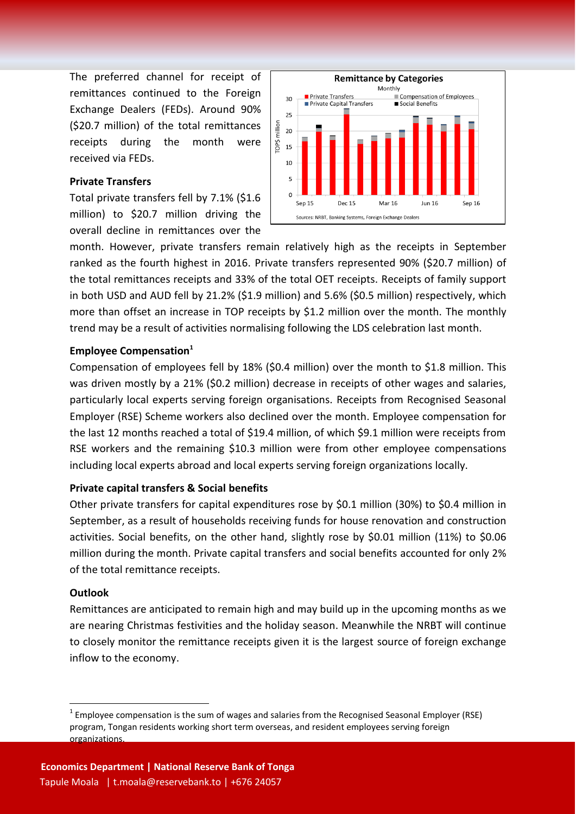The preferred channel for receipt of remittances continued to the Foreign Exchange Dealers (FEDs). Around 90% (\$20.7 million) of the total remittances receipts during the month were received via FEDs.

#### **Private Transfers**

Total private transfers fell by 7.1% (\$1.6 million) to \$20.7 million driving the overall decline in remittances over the



month. However, private transfers remain relatively high as the receipts in September ranked as the fourth highest in 2016. Private transfers represented 90% (\$20.7 million) of the total remittances receipts and 33% of the total OET receipts. Receipts of family support in both USD and AUD fell by 21.2% (\$1.9 million) and 5.6% (\$0.5 million) respectively, which more than offset an increase in TOP receipts by \$1.2 million over the month. The monthly trend may be a result of activities normalising following the LDS celebration last month.

### **Employee Compensation<sup>1</sup>**

Compensation of employees fell by 18% (\$0.4 million) over the month to \$1.8 million. This was driven mostly by a 21% (\$0.2 million) decrease in receipts of other wages and salaries, particularly local experts serving foreign organisations. Receipts from Recognised Seasonal Employer (RSE) Scheme workers also declined over the month. Employee compensation for the last 12 months reached a total of \$19.4 million, of which \$9.1 million were receipts from RSE workers and the remaining \$10.3 million were from other employee compensations including local experts abroad and local experts serving foreign organizations locally.

#### **Private capital transfers & Social benefits**

Other private transfers for capital expenditures rose by \$0.1 million (30%) to \$0.4 million in September, as a result of households receiving funds for house renovation and construction activities. Social benefits, on the other hand, slightly rose by \$0.01 million (11%) to \$0.06 million during the month. Private capital transfers and social benefits accounted for only 2% of the total remittance receipts.

#### **Outlook**

**.** 

Remittances are anticipated to remain high and may build up in the upcoming months as we are nearing Christmas festivities and the holiday season. Meanwhile the NRBT will continue to closely monitor the remittance receipts given it is the largest source of foreign exchange inflow to the economy.

 $1$  Employee compensation is the sum of wages and salaries from the Recognised Seasonal Employer (RSE) program, Tongan residents working short term overseas, and resident employees serving foreign organizations.